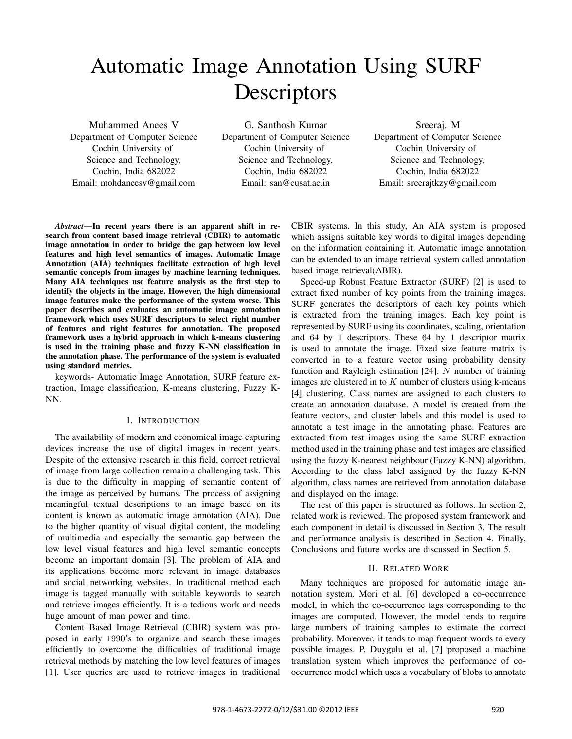# Automatic Image Annotation Using SURF **Descriptors**

Muhammed Anees V

Department of Computer Science Cochin University of Science and Technology, Cochin, India 682022 Email: mohdaneesv@gmail.com

G. Santhosh Kumar Department of Computer Science Cochin University of Science and Technology, Cochin, India 682022 Email: san@cusat.ac.in

Sreeraj. M Department of Computer Science Cochin University of Science and Technology, Cochin, India 682022 Email: sreerajtkzy@gmail.com

*Abstract*—In recent years there is an apparent shift in research from content based image retrieval (CBIR) to automatic image annotation in order to bridge the gap between low level features and high level semantics of images. Automatic Image Annotation (AIA) techniques facilitate extraction of high level semantic concepts from images by machine learning techniques. Many AIA techniques use feature analysis as the first step to identify the objects in the image. However, the high dimensional image features make the performance of the system worse. This paper describes and evaluates an automatic image annotation framework which uses SURF descriptors to select right number of features and right features for annotation. The proposed framework uses a hybrid approach in which k-means clustering is used in the training phase and fuzzy K-NN classification in the annotation phase. The performance of the system is evaluated using standard metrics.

keywords- Automatic Image Annotation, SURF feature extraction, Image classification, K-means clustering, Fuzzy K-NN.

### I. INTRODUCTION

The availability of modern and economical image capturing devices increase the use of digital images in recent years. Despite of the extensive research in this field, correct retrieval of image from large collection remain a challenging task. This is due to the difficulty in mapping of semantic content of the image as perceived by humans. The process of assigning meaningful textual descriptions to an image based on its content is known as automatic image annotation (AIA). Due to the higher quantity of visual digital content, the modeling of multimedia and especially the semantic gap between the low level visual features and high level semantic concepts become an important domain [3]. The problem of AIA and its applications become more relevant in image databases and social networking websites. In traditional method each image is tagged manually with suitable keywords to search and retrieve images efficiently. It is a tedious work and needs huge amount of man power and time.

Content Based Image Retrieval (CBIR) system was proposed in early 1990's to organize and search these images efficiently to overcome the difficulties of traditional image retrieval methods by matching the low level features of images [1]. User queries are used to retrieve images in traditional CBIR systems. In this study, An AIA system is proposed which assigns suitable key words to digital images depending on the information containing it. Automatic image annotation can be extended to an image retrieval system called annotation based image retrieval(ABIR).

Speed-up Robust Feature Extractor (SURF) [2] is used to extract fixed number of key points from the training images. SURF generates the descriptors of each key points which is extracted from the training images. Each key point is represented by SURF using its coordinates, scaling, orientation and 64 by 1 descriptors. These 64 by 1 descriptor matrix is used to annotate the image. Fixed size feature matrix is converted in to a feature vector using probability density function and Rayleigh estimation  $[24]$ . N number of training images are clustered in to  $K$  number of clusters using k-means [4] clustering. Class names are assigned to each clusters to create an annotation database. A model is created from the feature vectors, and cluster labels and this model is used to annotate a test image in the annotating phase. Features are extracted from test images using the same SURF extraction method used in the training phase and test images are classified using the fuzzy K-nearest neighbour (Fuzzy K-NN) algorithm. According to the class label assigned by the fuzzy K-NN algorithm, class names are retrieved from annotation database and displayed on the image.

The rest of this paper is structured as follows. In section 2, related work is reviewed. The proposed system framework and each component in detail is discussed in Section 3. The result and performance analysis is described in Section 4. Finally, Conclusions and future works are discussed in Section 5.

## II. RELATED WORK

Many techniques are proposed for automatic image annotation system. Mori et al. [6] developed a co-occurrence model, in which the co-occurrence tags corresponding to the images are computed. However, the model tends to require large numbers of training samples to estimate the correct probability. Moreover, it tends to map frequent words to every possible images. P. Duygulu et al. [7] proposed a machine translation system which improves the performance of cooccurrence model which uses a vocabulary of blobs to annotate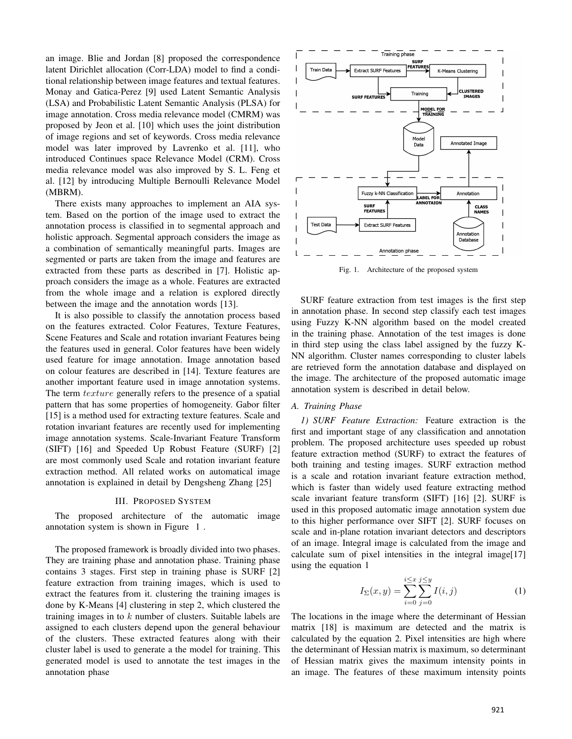an image. Blie and Jordan [8] proposed the correspondence latent Dirichlet allocation (Corr-LDA) model to find a conditional relationship between image features and textual features. Monay and Gatica-Perez [9] used Latent Semantic Analysis (LSA) and Probabilistic Latent Semantic Analysis (PLSA) for image annotation. Cross media relevance model (CMRM) was proposed by Jeon et al. [10] which uses the joint distribution of image regions and set of keywords. Cross media relevance model was later improved by Lavrenko et al. [11], who introduced Continues space Relevance Model (CRM). Cross media relevance model was also improved by S. L. Feng et al. [12] by introducing Multiple Bernoulli Relevance Model (MBRM).

There exists many approaches to implement an AIA system. Based on the portion of the image used to extract the annotation process is classified in to segmental approach and holistic approach. Segmental approach considers the image as a combination of semantically meaningful parts. Images are segmented or parts are taken from the image and features are extracted from these parts as described in [7]. Holistic approach considers the image as a whole. Features are extracted from the whole image and a relation is explored directly between the image and the annotation words [13].

It is also possible to classify the annotation process based on the features extracted. Color Features, Texture Features, Scene Features and Scale and rotation invariant Features being the features used in general. Color features have been widely used feature for image annotation. Image annotation based on colour features are described in [14]. Texture features are another important feature used in image annotation systems. The term *texture* generally refers to the presence of a spatial pattern that has some properties of homogeneity. Gabor filter [15] is a method used for extracting texture features. Scale and rotation invariant features are recently used for implementing image annotation systems. Scale-Invariant Feature Transform (SIFT) [16] and Speeded Up Robust Feature (SURF) [2] are most commonly used Scale and rotation invariant feature extraction method. All related works on automatical image annotation is explained in detail by Dengsheng Zhang [25]

### III. PROPOSED SYSTEM

The proposed architecture of the automatic image annotation system is shown in Figure 1 .

The proposed framework is broadly divided into two phases. They are training phase and annotation phase. Training phase contains 3 stages. First step in training phase is SURF [2] feature extraction from training images, which is used to extract the features from it. clustering the training images is done by K-Means [4] clustering in step 2, which clustered the training images in to  $k$  number of clusters. Suitable labels are assigned to each clusters depend upon the general behaviour of the clusters. These extracted features along with their cluster label is used to generate a the model for training. This generated model is used to annotate the test images in the annotation phase



Fig. 1. Architecture of the proposed system

SURF feature extraction from test images is the first step in annotation phase. In second step classify each test images using Fuzzy K-NN algorithm based on the model created in the training phase. Annotation of the test images is done in third step using the class label assigned by the fuzzy K-NN algorithm. Cluster names corresponding to cluster labels are retrieved form the annotation database and displayed on the image. The architecture of the proposed automatic image annotation system is described in detail below.

## *A. Training Phase*

*1) SURF Feature Extraction:* Feature extraction is the first and important stage of any classification and annotation problem. The proposed architecture uses speeded up robust feature extraction method (SURF) to extract the features of both training and testing images. SURF extraction method is a scale and rotation invariant feature extraction method, which is faster than widely used feature extracting method scale invariant feature transform (SIFT) [16] [2]. SURF is used in this proposed automatic image annotation system due to this higher performance over SIFT [2]. SURF focuses on scale and in-plane rotation invariant detectors and descriptors of an image. Integral image is calculated from the image and calculate sum of pixel intensities in the integral image[17] using the equation 1

$$
I_{\Sigma}(x,y) = \sum_{i=0}^{i \le x} \sum_{j=0}^{j \le y} I(i,j)
$$
 (1)

The locations in the image where the determinant of Hessian matrix [18] is maximum are detected and the matrix is calculated by the equation 2. Pixel intensities are high where the determinant of Hessian matrix is maximum, so determinant of Hessian matrix gives the maximum intensity points in an image. The features of these maximum intensity points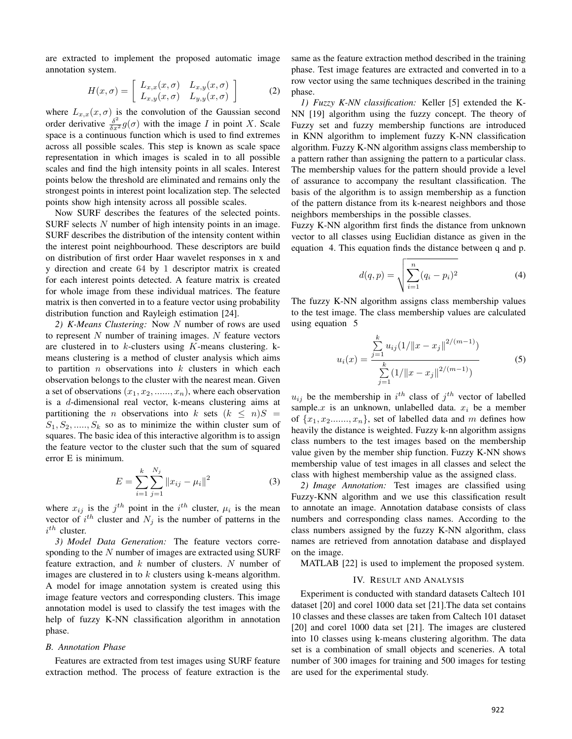are extracted to implement the proposed automatic image annotation system.

$$
H(x,\sigma) = \left[ \begin{array}{cc} L_{x,x}(x,\sigma) & L_{x,y}(x,\sigma) \\ L_{x,y}(x,\sigma) & L_{y,y}(x,\sigma) \end{array} \right] \tag{2}
$$

where  $L_{x,x}(x, \sigma)$  is the convolution of the Gaussian second order derivative  $\frac{\delta^2}{\delta x^2} g(\sigma)$  with the image I in point X. Scale space is a continuous function which is used to find extremes across all possible scales. This step is known as scale space representation in which images is scaled in to all possible scales and find the high intensity points in all scales. Interest points below the threshold are eliminated and remains only the strongest points in interest point localization step. The selected points show high intensity across all possible scales.

Now SURF describes the features of the selected points. SURF selects  $N$  number of high intensity points in an image. SURF describes the distribution of the intensity content within the interest point neighbourhood. These descriptors are build on distribution of first order Haar wavelet responses in x and y direction and create 64 by 1 descriptor matrix is created for each interest points detected. A feature matrix is created for whole image from these individual matrices. The feature matrix is then converted in to a feature vector using probability distribution function and Rayleigh estimation [24].

*2) K-Means Clustering:* Now N number of rows are used to represent  $N$  number of training images.  $N$  feature vectors are clustered in to  $k$ -clusters using  $K$ -means clustering.  $k$ means clustering is a method of cluster analysis which aims to partition  $n$  observations into  $k$  clusters in which each observation belongs to the cluster with the nearest mean. Given a set of observations  $(x_1, x_2, \ldots, x_n)$ , where each observation is a d-dimensional real vector, k-means clustering aims at partitioning the *n* observations into k sets  $(k \le n)S =$  $S_1, S_2, \ldots, S_k$  so as to minimize the within cluster sum of squares. The basic idea of this interactive algorithm is to assign the feature vector to the cluster such that the sum of squared error E is minimum.

$$
E = \sum_{i=1}^{k} \sum_{j=1}^{N_j} ||x_{ij} - \mu_i||^2
$$
 (3)

where  $x_{ij}$  is the  $j^{th}$  point in the  $i^{th}$  cluster,  $\mu_i$  is the mean vector of  $i^{th}$  cluster and  $N_j$  is the number of patterns in the  $i^{th}$  cluster.

*3) Model Data Generation:* The feature vectors corresponding to the  $N$  number of images are extracted using SURF feature extraction, and  $k$  number of clusters. N number of images are clustered in to  $k$  clusters using k-means algorithm. A model for image annotation system is created using this image feature vectors and corresponding clusters. This image annotation model is used to classify the test images with the help of fuzzy K-NN classification algorithm in annotation phase.

#### *B. Annotation Phase*

Features are extracted from test images using SURF feature extraction method. The process of feature extraction is the same as the feature extraction method described in the training phase. Test image features are extracted and converted in to a row vector using the same techniques described in the training phase.

*1) Fuzzy K-NN classification:* Keller [5] extended the K-NN [19] algorithm using the fuzzy concept. The theory of Fuzzy set and fuzzy membership functions are introduced in KNN algorithm to implement fuzzy K-NN classification algorithm. Fuzzy K-NN algorithm assigns class membership to a pattern rather than assigning the pattern to a particular class. The membership values for the pattern should provide a level of assurance to accompany the resultant classification. The basis of the algorithm is to assign membership as a function of the pattern distance from its k-nearest neighbors and those neighbors memberships in the possible classes.

Fuzzy K-NN algorithm first finds the distance from unknown vector to all classes using Euclidian distance as given in the equation 4. This equation finds the distance between q and p.

$$
d(q, p) = \sqrt{\sum_{i=1}^{n} (q_i - p_i)^2}
$$
 (4)

The fuzzy K-NN algorithm assigns class membership values to the test image. The class membership values are calculated using equation 5

$$
u_i(x) = \frac{\sum_{j=1}^{k} u_{ij} (1/\|x - x_j\|^{2/(m-1)})}{\sum_{j=1}^{k} (1/\|x - x_j\|^{2/(m-1)})}
$$
(5)

 $u_{ij}$  be the membership in  $i^{th}$  class of  $j^{th}$  vector of labelled sample.x is an unknown, unlabelled data.  $x_i$  be a member of  $\{x_1, x_2, \ldots, x_n\}$ , set of labelled data and m defines how heavily the distance is weighted. Fuzzy k-nn algorithm assigns class numbers to the test images based on the membership value given by the member ship function. Fuzzy K-NN shows membership value of test images in all classes and select the class with highest membership value as the assigned class.

*2) Image Annotation:* Test images are classified using Fuzzy-KNN algorithm and we use this classification result to annotate an image. Annotation database consists of class numbers and corresponding class names. According to the class numbers assigned by the fuzzy K-NN algorithm, class names are retrieved from annotation database and displayed on the image.

MATLAB [22] is used to implement the proposed system.

#### IV. RESULT AND ANALYSIS

Experiment is conducted with standard datasets Caltech 101 dataset [20] and corel 1000 data set [21].The data set contains 10 classes and these classes are taken from Caltech 101 dataset [20] and corel 1000 data set [21]. The images are clustered into 10 classes using k-means clustering algorithm. The data set is a combination of small objects and sceneries. A total number of 300 images for training and 500 images for testing are used for the experimental study.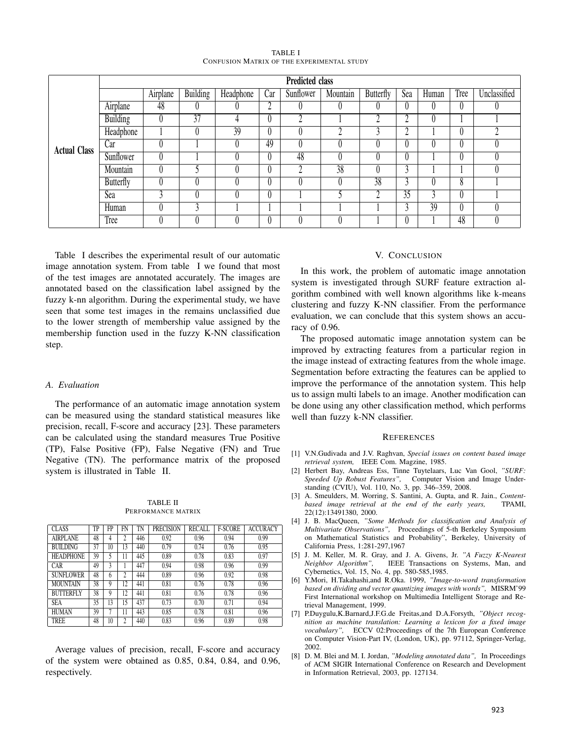| TABLE I                                           |  |  |  |  |  |  |  |  |
|---------------------------------------------------|--|--|--|--|--|--|--|--|
| <b>CONFUSION MATRIX OF THE EXPERIMENTAL STUDY</b> |  |  |  |  |  |  |  |  |

|                     | <b>Predicted class</b> |          |                 |                 |     |           |                 |                  |                          |       |      |              |
|---------------------|------------------------|----------|-----------------|-----------------|-----|-----------|-----------------|------------------|--------------------------|-------|------|--------------|
|                     |                        | Airplane | <b>Building</b> | Headphone       | Car | Sunflower | Mountain        | <b>Butterfly</b> | Sea                      | Human | Tree | Unclassified |
|                     | Airplane               | 48       |                 |                 | Λ   |           | $\theta$        | 0                |                          |       |      |              |
|                     | <b>Building</b>        |          | 37              |                 |     |           |                 | Λ                |                          |       |      |              |
|                     | Headphone              |          |                 | $\overline{39}$ |     |           | C               | Λ                |                          |       |      |              |
| <b>Actual Class</b> | Car                    |          |                 |                 | 49  |           | 0               |                  |                          |       |      |              |
|                     | Sunflower              |          |                 |                 |     | 48        |                 |                  |                          |       |      |              |
|                     | Mountain               |          |                 |                 |     |           | $\overline{38}$ |                  | $\overline{\phantom{a}}$ |       |      |              |
|                     | <b>Butterfly</b>       |          |                 |                 |     |           | $\theta$        | 38               |                          |       | 8    |              |
|                     | Sea                    |          |                 |                 |     |           |                 | Λ                | 35                       |       |      |              |
|                     | Human                  |          | ◠               |                 |     |           |                 |                  |                          | 39    |      |              |
|                     | Tree                   |          |                 |                 |     |           |                 |                  |                          |       | 48   |              |

Table I describes the experimental result of our automatic image annotation system. From table I we found that most of the test images are annotated accurately. The images are annotated based on the classification label assigned by the fuzzy k-nn algorithm. During the experimental study, we have seen that some test images in the remains unclassified due to the lower strength of membership value assigned by the membership function used in the fuzzy K-NN classification step.

## *A. Evaluation*

The performance of an automatic image annotation system can be measured using the standard statistical measures like precision, recall, F-score and accuracy [23]. These parameters can be calculated using the standard measures True Positive (TP), False Positive (FP), False Negative (FN) and True Negative (TN). The performance matrix of the proposed system is illustrated in Table II.

TABLE II PERFORMANCE MATRIX

| <b>CLASS</b>     | TP | FP | FN | TN  | <b>PRECISION</b> | <b>RECALL</b> | <b>F-SCORE</b> | <b>ACCURACY</b> |
|------------------|----|----|----|-----|------------------|---------------|----------------|-----------------|
| <b>AIRPLANE</b>  | 48 | 4  | 2  | 446 | 0.92             | 0.96          | 0.94           | 0.99            |
| <b>BUILDING</b>  | 37 | 10 | 13 | 440 | 0.79             | 0.74          | 0.76           | 0.95            |
| <b>HEADPHONE</b> | 39 | 5  | 11 | 445 | 0.89             | 0.78          | 0.83           | 0.97            |
| CAR              | 49 | 3  |    | 447 | 0.94             | 0.98          | 0.96           | 0.99            |
| <b>SUNFLOWER</b> | 48 | h  |    | 444 | 0.89             | 0.96          | 0.92           | 0.98            |
| MOUNTAIN         | 38 | 9  | 12 | 441 | 0.81             | 0.76          | 0.78           | 0.96            |
| <b>BUTTERFLY</b> | 38 | 9  | 12 | 441 | 0.81             | 0.76          | 0.78           | 0.96            |
| <b>SEA</b>       | 35 | 13 | 15 | 437 | 0.73             | 0.70          | 0.71           | 0.94            |
| <b>HUMAN</b>     | 39 | 7  | 11 | 443 | 0.85             | 0.78          | 0.81           | 0.96            |
| TREE             | 48 | 10 | ኅ  | 440 | 0.83             | 0.96          | 0.89           | 0.98            |

Average values of precision, recall, F-score and accuracy of the system were obtained as 0.85, 0.84, 0.84, and 0.96, respectively.

## V. CONCLUSION

In this work, the problem of automatic image annotation system is investigated through SURF feature extraction algorithm combined with well known algorithms like k-means clustering and fuzzy K-NN classifier. From the performance evaluation, we can conclude that this system shows an accuracy of 0.96.

The proposed automatic image annotation system can be improved by extracting features from a particular region in the image instead of extracting features from the whole image. Segmentation before extracting the features can be applied to improve the performance of the annotation system. This help us to assign multi labels to an image. Another modification can be done using any other classification method, which performs well than fuzzy k-NN classifier.

#### **REFERENCES**

- [1] V.N.Gudivada and J.V. Raghvan, *Special issues on content based image retrieval system,* IEEE Com. Magzine, 1985.
- [2] Herbert Bay, Andreas Ess, Tinne Tuytelaars, Luc Van Gool, *"SURF: Speeded Up Robust Features",* Computer Vision and Image Understanding (CVIU), Vol. 110, No. 3, pp. 346–359, 2008.
- [3] A. Smeulders, M. Worring, S. Santini, A. Gupta, and R. Jain., *Contentbased image retrieval at the end of the early years,* TPAMI, 22(12):13491380, 2000.
- [4] J. B. MacQueen, *"Some Methods for classification and Analysis of Multivariate Observations",* Proceedings of 5-th Berkeley Symposium on Mathematical Statistics and Probability", Berkeley, University of California Press, 1:281-297,1967
- [5] J. M. Keller, M. R. Gray, and J. A. Givens, Jr. *"A Fuzzy K-Nearest Neighbor Algorithm",* IEEE Transactions on Systems, Man, and Cybernetics, Vol. 15, No. 4, pp. 580-585,1985.
- [6] Y.Mori, H.Takahashi,and R.Oka. 1999, *"Image-to-word transformation based on dividing and vector quantizing images with words",* MISRM'99 First International workshop on Multimedia Intelligent Storage and Retrieval Management, 1999.
- [7] P.Duygulu,K.Barnard,J.F.G.de Freitas,and D.A.Forsyth, *"Object recognition as machine translation: Learning a lexicon for a fixed image vocabulary",* ECCV 02:Proceedings of the 7th European Conference on Computer Vision-Part IV, (London, UK), pp. 97112, Springer-Verlag, 2002.
- [8] D. M. Blei and M. I. Jordan, *"Modeling annotated data",* In Proceedings of ACM SIGIR International Conference on Research and Development in Information Retrieval, 2003, pp. 127134.